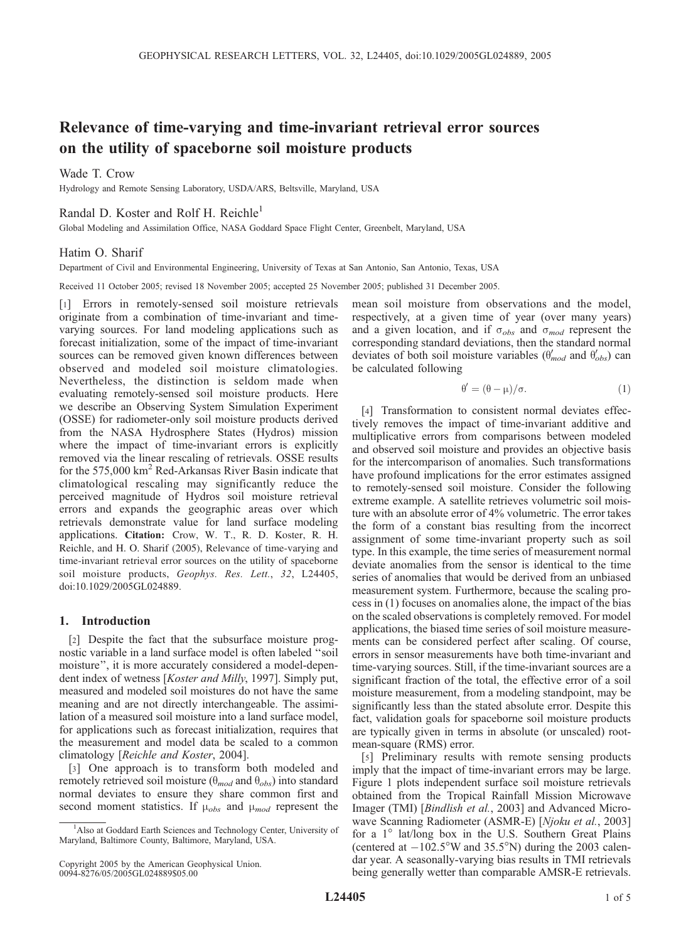# Relevance of time-varying and time-invariant retrieval error sources on the utility of spaceborne soil moisture products

# Wade T. Crow

Hydrology and Remote Sensing Laboratory, USDA/ARS, Beltsville, Maryland, USA

# Randal D. Koster and Rolf H. Reichle<sup>1</sup>

Global Modeling and Assimilation Office, NASA Goddard Space Flight Center, Greenbelt, Maryland, USA

## Hatim O. Sharif

Department of Civil and Environmental Engineering, University of Texas at San Antonio, San Antonio, Texas, USA

Received 11 October 2005; revised 18 November 2005; accepted 25 November 2005; published 31 December 2005.

[1] Errors in remotely-sensed soil moisture retrievals originate from a combination of time-invariant and timevarying sources. For land modeling applications such as forecast initialization, some of the impact of time-invariant sources can be removed given known differences between observed and modeled soil moisture climatologies. Nevertheless, the distinction is seldom made when evaluating remotely-sensed soil moisture products. Here we describe an Observing System Simulation Experiment (OSSE) for radiometer-only soil moisture products derived from the NASA Hydrosphere States (Hydros) mission where the impact of time-invariant errors is explicitly removed via the linear rescaling of retrievals. OSSE results for the 575,000 km<sup>2</sup> Red-Arkansas River Basin indicate that climatological rescaling may significantly reduce the perceived magnitude of Hydros soil moisture retrieval errors and expands the geographic areas over which retrievals demonstrate value for land surface modeling applications. Citation: Crow, W. T., R. D. Koster, R. H. Reichle, and H. O. Sharif (2005), Relevance of time-varying and time-invariant retrieval error sources on the utility of spaceborne soil moisture products, Geophys. Res. Lett., 32, L24405, doi:10.1029/2005GL024889.

## 1. Introduction

[2] Despite the fact that the subsurface moisture prognostic variable in a land surface model is often labeled ''soil moisture'', it is more accurately considered a model-dependent index of wetness [Koster and Milly, 1997]. Simply put, measured and modeled soil moistures do not have the same meaning and are not directly interchangeable. The assimilation of a measured soil moisture into a land surface model, for applications such as forecast initialization, requires that the measurement and model data be scaled to a common climatology [Reichle and Koster, 2004].

[3] One approach is to transform both modeled and remotely retrieved soil moisture ( $\theta_{mod}$  and  $\theta_{obs}$ ) into standard normal deviates to ensure they share common first and second moment statistics. If  $\mu_{obs}$  and  $\mu_{mod}$  represent the

mean soil moisture from observations and the model, respectively, at a given time of year (over many years) and a given location, and if  $\sigma_{obs}$  and  $\sigma_{mod}$  represent the corresponding standard deviations, then the standard normal deviates of both soil moisture variables ( $\theta'_{mod}$  and  $\theta'_{obs}$ ) can be calculated following

$$
\theta' = (\theta - \mu) / \sigma.
$$
 (1)

[4] Transformation to consistent normal deviates effectively removes the impact of time-invariant additive and multiplicative errors from comparisons between modeled and observed soil moisture and provides an objective basis for the intercomparison of anomalies. Such transformations have profound implications for the error estimates assigned to remotely-sensed soil moisture. Consider the following extreme example. A satellite retrieves volumetric soil moisture with an absolute error of 4% volumetric. The error takes the form of a constant bias resulting from the incorrect assignment of some time-invariant property such as soil type. In this example, the time series of measurement normal deviate anomalies from the sensor is identical to the time series of anomalies that would be derived from an unbiased measurement system. Furthermore, because the scaling process in (1) focuses on anomalies alone, the impact of the bias on the scaled observations is completely removed. For model applications, the biased time series of soil moisture measurements can be considered perfect after scaling. Of course, errors in sensor measurements have both time-invariant and time-varying sources. Still, if the time-invariant sources are a significant fraction of the total, the effective error of a soil moisture measurement, from a modeling standpoint, may be significantly less than the stated absolute error. Despite this fact, validation goals for spaceborne soil moisture products are typically given in terms in absolute (or unscaled) rootmean-square (RMS) error.

[5] Preliminary results with remote sensing products imply that the impact of time-invariant errors may be large. Figure 1 plots independent surface soil moisture retrievals obtained from the Tropical Rainfall Mission Microwave Imager (TMI) [Bindlish et al., 2003] and Advanced Microwave Scanning Radiometer (ASMR-E) [Njoku et al., 2003] for a  $1^\circ$  lat/long box in the U.S. Southern Great Plains (centered at  $-102.5^{\circ}$ W and 35.5°N) during the 2003 calendar year. A seasonally-varying bias results in TMI retrievals being generally wetter than comparable AMSR-E retrievals.

<sup>&</sup>lt;sup>1</sup>Also at Goddard Earth Sciences and Technology Center, University of Maryland, Baltimore County, Baltimore, Maryland, USA.

Copyright 2005 by the American Geophysical Union. 0094-8276/05/2005GL024889\$05.00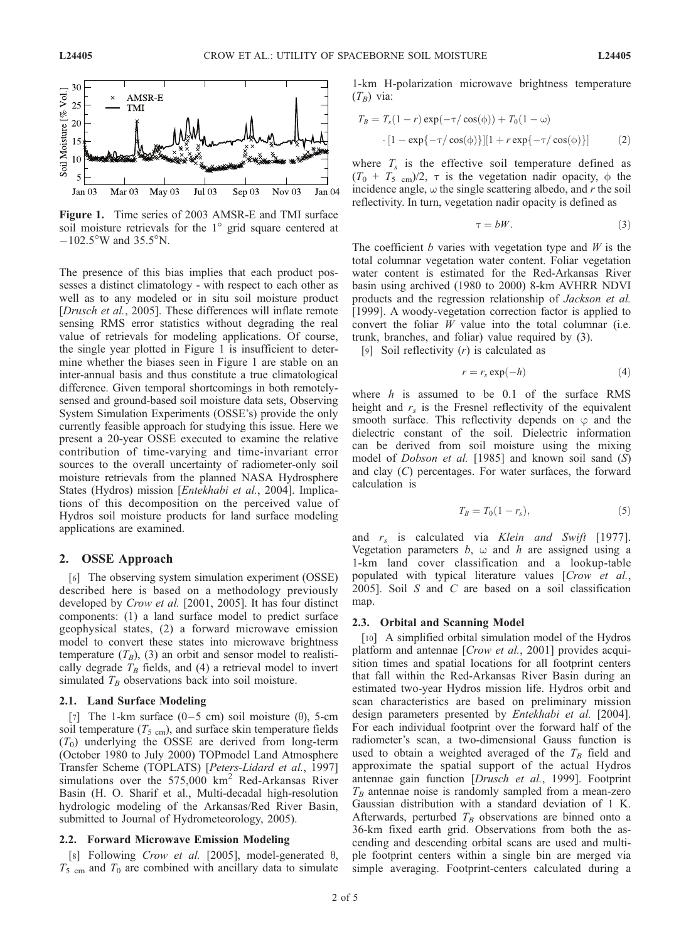

Figure 1. Time series of 2003 AMSR-E and TMI surface soil moisture retrievals for the  $1^\circ$  grid square centered at  $-102.5^{\circ}$ W and 35.5°N.

The presence of this bias implies that each product possesses a distinct climatology - with respect to each other as well as to any modeled or in situ soil moisture product [Drusch et al., 2005]. These differences will inflate remote sensing RMS error statistics without degrading the real value of retrievals for modeling applications. Of course, the single year plotted in Figure 1 is insufficient to determine whether the biases seen in Figure 1 are stable on an inter-annual basis and thus constitute a true climatological difference. Given temporal shortcomings in both remotelysensed and ground-based soil moisture data sets, Observing System Simulation Experiments (OSSE's) provide the only currently feasible approach for studying this issue. Here we present a 20-year OSSE executed to examine the relative contribution of time-varying and time-invariant error sources to the overall uncertainty of radiometer-only soil moisture retrievals from the planned NASA Hydrosphere States (Hydros) mission [Entekhabi et al., 2004]. Implications of this decomposition on the perceived value of Hydros soil moisture products for land surface modeling applications are examined.

# 2. OSSE Approach

[6] The observing system simulation experiment (OSSE) described here is based on a methodology previously developed by Crow et al. [2001, 2005]. It has four distinct components: (1) a land surface model to predict surface geophysical states, (2) a forward microwave emission model to convert these states into microwave brightness temperature  $(T_B)$ , (3) an orbit and sensor model to realistically degrade  $T_B$  fields, and (4) a retrieval model to invert simulated  $T_B$  observations back into soil moisture.

### 2.1. Land Surface Modeling

[7] The 1-km surface  $(0-5 \text{ cm})$  soil moisture  $(\theta)$ , 5-cm soil temperature ( $T_{5 \text{ cm}}$ ), and surface skin temperature fields  $(T_0)$  underlying the OSSE are derived from long-term (October 1980 to July 2000) TOPmodel Land Atmosphere Transfer Scheme (TOPLATS) [Peters-Lidard et al., 1997] simulations over the  $575,000 \text{ km}^2$  Red-Arkansas River Basin (H. O. Sharif et al., Multi-decadal high-resolution hydrologic modeling of the Arkansas/Red River Basin, submitted to Journal of Hydrometeorology, 2005).

## 2.2. Forward Microwave Emission Modeling

[8] Following Crow et al. [2005], model-generated  $\theta$ ,  $T_5$  <sub>cm</sub> and  $T_0$  are combined with ancillary data to simulate 1-km H-polarization microwave brightness temperature  $(T_B)$  via:

$$
T_B = T_s(1 - r) \exp(-\tau/\cos(\phi)) + T_0(1 - \omega)
$$

$$
\cdot [1 - \exp\{-\tau/\cos(\phi)\}] [1 + r \exp\{-\tau/\cos(\phi)\}] \tag{2}
$$

where  $T_s$  is the effective soil temperature defined as  $(T_0 + T_5)$  cm  $/2$ ,  $\tau$  is the vegetation nadir opacity,  $\phi$  the incidence angle,  $\omega$  the single scattering albedo, and r the soil reflectivity. In turn, vegetation nadir opacity is defined as

$$
\tau = bW.\t\t(3)
$$

The coefficient  $b$  varies with vegetation type and  $W$  is the total columnar vegetation water content. Foliar vegetation water content is estimated for the Red-Arkansas River basin using archived (1980 to 2000) 8-km AVHRR NDVI products and the regression relationship of Jackson et al. [1999]. A woody-vegetation correction factor is applied to convert the foliar  $W$  value into the total columnar (i.e. trunk, branches, and foliar) value required by (3).

[9] Soil reflectivity  $(r)$  is calculated as

$$
r = r_s \exp(-h) \tag{4}
$$

where  $h$  is assumed to be 0.1 of the surface RMS height and  $r<sub>s</sub>$  is the Fresnel reflectivity of the equivalent smooth surface. This reflectivity depends on  $\varphi$  and the dielectric constant of the soil. Dielectric information can be derived from soil moisture using the mixing model of *Dobson et al.* [1985] and known soil sand (S) and clay (C) percentages. For water surfaces, the forward calculation is

$$
T_B = T_0(1 - r_s),\tag{5}
$$

and  $r_s$  is calculated via Klein and Swift [1977]. Vegetation parameters  $b$ ,  $\omega$  and h are assigned using a 1-km land cover classification and a lookup-table populated with typical literature values [Crow et al., 2005]. Soil  $S$  and  $C$  are based on a soil classification map.

### 2.3. Orbital and Scanning Model

[10] A simplified orbital simulation model of the Hydros platform and antennae [Crow et al., 2001] provides acquisition times and spatial locations for all footprint centers that fall within the Red-Arkansas River Basin during an estimated two-year Hydros mission life. Hydros orbit and scan characteristics are based on preliminary mission design parameters presented by *Entekhabi et al.* [2004]. For each individual footprint over the forward half of the radiometer's scan, a two-dimensional Gauss function is used to obtain a weighted averaged of the  $T_B$  field and approximate the spatial support of the actual Hydros antennae gain function [Drusch et al., 1999]. Footprint  $T_B$  antennae noise is randomly sampled from a mean-zero Gaussian distribution with a standard deviation of 1 K. Afterwards, perturbed  $T_B$  observations are binned onto a 36-km fixed earth grid. Observations from both the ascending and descending orbital scans are used and multiple footprint centers within a single bin are merged via simple averaging. Footprint-centers calculated during a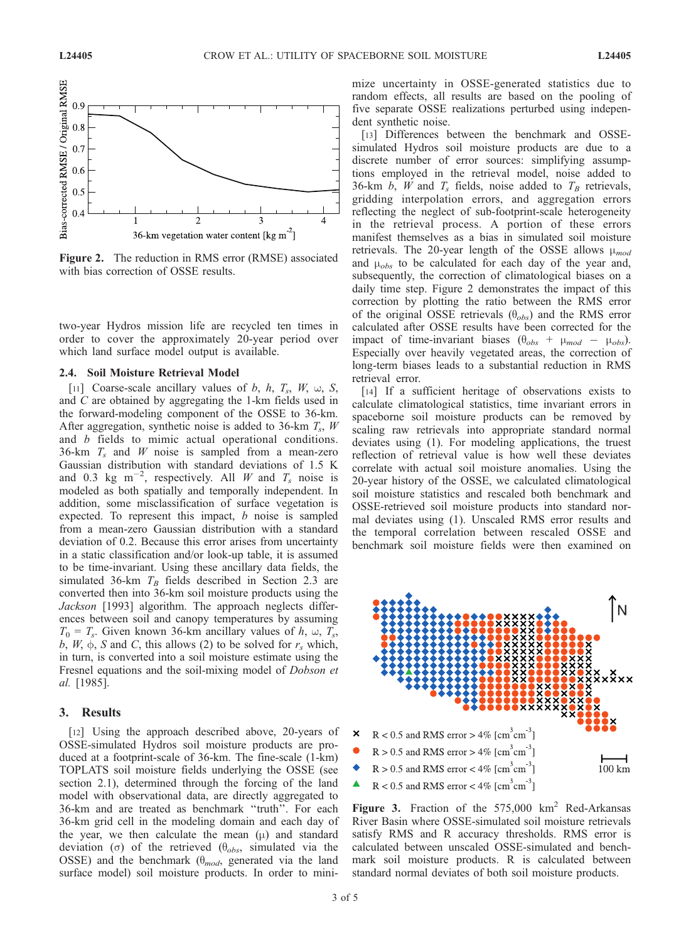

Figure 2. The reduction in RMS error (RMSE) associated with bias correction of OSSE results.

two-year Hydros mission life are recycled ten times in order to cover the approximately 20-year period over which land surface model output is available.

### 2.4. Soil Moisture Retrieval Model

[11] Coarse-scale ancillary values of b, h,  $T_s$ , W,  $\omega$ , S, and C are obtained by aggregating the 1-km fields used in the forward-modeling component of the OSSE to 36-km. After aggregation, synthetic noise is added to 36-km  $T_s$ , W and b fields to mimic actual operational conditions. 36-km  $T_s$  and W noise is sampled from a mean-zero Gaussian distribution with standard deviations of 1.5 K and 0.3 kg m<sup>-2</sup>, respectively. All *W* and  $T_s$  noise is modeled as both spatially and temporally independent. In addition, some misclassification of surface vegetation is expected. To represent this impact,  $b$  noise is sampled from a mean-zero Gaussian distribution with a standard deviation of 0.2. Because this error arises from uncertainty in a static classification and/or look-up table, it is assumed to be time-invariant. Using these ancillary data fields, the simulated 36-km  $T_B$  fields described in Section 2.3 are converted then into 36-km soil moisture products using the Jackson [1993] algorithm. The approach neglects differences between soil and canopy temperatures by assuming  $T_0 = T_s$ . Given known 36-km ancillary values of h,  $\omega$ ,  $T_s$ , b,  $W$ ,  $\phi$ , S and C, this allows (2) to be solved for  $r_s$  which, in turn, is converted into a soil moisture estimate using the Fresnel equations and the soil-mixing model of Dobson et al. [1985].

## 3. Results

[12] Using the approach described above, 20-years of OSSE-simulated Hydros soil moisture products are produced at a footprint-scale of 36-km. The fine-scale (1-km) TOPLATS soil moisture fields underlying the OSSE (see section 2.1), determined through the forcing of the land model with observational data, are directly aggregated to 36-km and are treated as benchmark ''truth''. For each 36-km grid cell in the modeling domain and each day of the year, we then calculate the mean  $(\mu)$  and standard deviation ( $\sigma$ ) of the retrieved ( $\theta_{obs}$ , simulated via the OSSE) and the benchmark ( $\theta_{mod}$ , generated via the land surface model) soil moisture products. In order to minimize uncertainty in OSSE-generated statistics due to random effects, all results are based on the pooling of five separate OSSE realizations perturbed using independent synthetic noise.

[13] Differences between the benchmark and OSSEsimulated Hydros soil moisture products are due to a discrete number of error sources: simplifying assumptions employed in the retrieval model, noise added to 36-km b, W and  $T_s$  fields, noise added to  $T_B$  retrievals, gridding interpolation errors, and aggregation errors reflecting the neglect of sub-footprint-scale heterogeneity in the retrieval process. A portion of these errors manifest themselves as a bias in simulated soil moisture retrievals. The 20-year length of the OSSE allows  $\mu_{mod}$ and  $\mu_{obs}$  to be calculated for each day of the year and, subsequently, the correction of climatological biases on a daily time step. Figure 2 demonstrates the impact of this correction by plotting the ratio between the RMS error of the original OSSE retrievals  $(\theta_{obs})$  and the RMS error calculated after OSSE results have been corrected for the impact of time-invariant biases  $(\theta_{obs} + \mu_{mod} - \mu_{obs})$ . Especially over heavily vegetated areas, the correction of long-term biases leads to a substantial reduction in RMS retrieval error.

[14] If a sufficient heritage of observations exists to calculate climatological statistics, time invariant errors in spaceborne soil moisture products can be removed by scaling raw retrievals into appropriate standard normal deviates using (1). For modeling applications, the truest reflection of retrieval value is how well these deviates correlate with actual soil moisture anomalies. Using the 20-year history of the OSSE, we calculated climatological soil moisture statistics and rescaled both benchmark and OSSE-retrieved soil moisture products into standard normal deviates using (1). Unscaled RMS error results and the temporal correlation between rescaled OSSE and benchmark soil moisture fields were then examined on



Figure 3. Fraction of the  $575,000$  km<sup>2</sup> Red-Arkansas River Basin where OSSE-simulated soil moisture retrievals satisfy RMS and R accuracy thresholds. RMS error is calculated between unscaled OSSE-simulated and benchmark soil moisture products. R is calculated between standard normal deviates of both soil moisture products.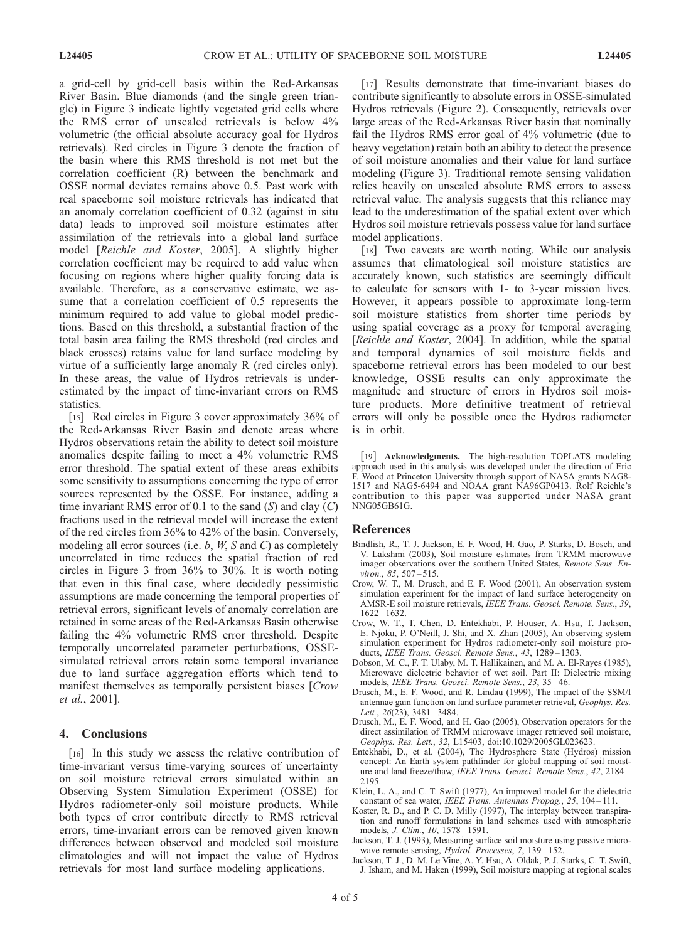a grid-cell by grid-cell basis within the Red-Arkansas River Basin. Blue diamonds (and the single green triangle) in Figure 3 indicate lightly vegetated grid cells where the RMS error of unscaled retrievals is below 4% volumetric (the official absolute accuracy goal for Hydros retrievals). Red circles in Figure 3 denote the fraction of the basin where this RMS threshold is not met but the correlation coefficient (R) between the benchmark and OSSE normal deviates remains above 0.5. Past work with real spaceborne soil moisture retrievals has indicated that an anomaly correlation coefficient of 0.32 (against in situ data) leads to improved soil moisture estimates after assimilation of the retrievals into a global land surface model [Reichle and Koster, 2005]. A slightly higher correlation coefficient may be required to add value when focusing on regions where higher quality forcing data is available. Therefore, as a conservative estimate, we assume that a correlation coefficient of 0.5 represents the minimum required to add value to global model predictions. Based on this threshold, a substantial fraction of the total basin area failing the RMS threshold (red circles and black crosses) retains value for land surface modeling by virtue of a sufficiently large anomaly R (red circles only). In these areas, the value of Hydros retrievals is underestimated by the impact of time-invariant errors on RMS statistics.

[15] Red circles in Figure 3 cover approximately 36% of the Red-Arkansas River Basin and denote areas where Hydros observations retain the ability to detect soil moisture anomalies despite failing to meet a 4% volumetric RMS error threshold. The spatial extent of these areas exhibits some sensitivity to assumptions concerning the type of error sources represented by the OSSE. For instance, adding a time invariant RMS error of 0.1 to the sand  $(S)$  and clay  $(C)$ fractions used in the retrieval model will increase the extent of the red circles from 36% to 42% of the basin. Conversely, modeling all error sources (i.e.  $b$ ,  $W$ ,  $S$  and  $C$ ) as completely uncorrelated in time reduces the spatial fraction of red circles in Figure 3 from 36% to 30%. It is worth noting that even in this final case, where decidedly pessimistic assumptions are made concerning the temporal properties of retrieval errors, significant levels of anomaly correlation are retained in some areas of the Red-Arkansas Basin otherwise failing the 4% volumetric RMS error threshold. Despite temporally uncorrelated parameter perturbations, OSSEsimulated retrieval errors retain some temporal invariance due to land surface aggregation efforts which tend to manifest themselves as temporally persistent biases [Crow] et al., 2001].

# 4. Conclusions

[16] In this study we assess the relative contribution of time-invariant versus time-varying sources of uncertainty on soil moisture retrieval errors simulated within an Observing System Simulation Experiment (OSSE) for Hydros radiometer-only soil moisture products. While both types of error contribute directly to RMS retrieval errors, time-invariant errors can be removed given known differences between observed and modeled soil moisture climatologies and will not impact the value of Hydros retrievals for most land surface modeling applications.

[17] Results demonstrate that time-invariant biases do contribute significantly to absolute errors in OSSE-simulated Hydros retrievals (Figure 2). Consequently, retrievals over large areas of the Red-Arkansas River basin that nominally fail the Hydros RMS error goal of 4% volumetric (due to heavy vegetation) retain both an ability to detect the presence of soil moisture anomalies and their value for land surface modeling (Figure 3). Traditional remote sensing validation relies heavily on unscaled absolute RMS errors to assess retrieval value. The analysis suggests that this reliance may lead to the underestimation of the spatial extent over which Hydros soil moisture retrievals possess value for land surface model applications.

[18] Two caveats are worth noting. While our analysis assumes that climatological soil moisture statistics are accurately known, such statistics are seemingly difficult to calculate for sensors with 1- to 3-year mission lives. However, it appears possible to approximate long-term soil moisture statistics from shorter time periods by using spatial coverage as a proxy for temporal averaging [Reichle and Koster, 2004]. In addition, while the spatial and temporal dynamics of soil moisture fields and spaceborne retrieval errors has been modeled to our best knowledge, OSSE results can only approximate the magnitude and structure of errors in Hydros soil moisture products. More definitive treatment of retrieval errors will only be possible once the Hydros radiometer is in orbit.

[19] Acknowledgments. The high-resolution TOPLATS modeling approach used in this analysis was developed under the direction of Eric Wood at Princeton University through support of NASA grants NAG8-1517 and NAG5-6494 and NOAA grant NA96GP0413. Rolf Reichle's contribution to this paper was supported under NASA grant NNG05GB61G.

#### References

- Bindlish, R., T. J. Jackson, E. F. Wood, H. Gao, P. Starks, D. Bosch, and V. Lakshmi (2003), Soil moisture estimates from TRMM microwave imager observations over the southern United States, Remote Sens. Environ., 85, 507-515.
- Crow, W. T., M. Drusch, and E. F. Wood (2001), An observation system simulation experiment for the impact of land surface heterogeneity on AMSR-E soil moisture retrievals, IEEE Trans. Geosci. Remote. Sens., 39,  $1622 - 1632.$
- Crow, W. T., T. Chen, D. Entekhabi, P. Houser, A. Hsu, T. Jackson, E. Njoku, P. O'Neill, J. Shi, and X. Zhan (2005), An observing system simulation experiment for Hydros radiometer-only soil moisture products, IEEE Trans. Geosci. Remote Sens., 43, 1289-1303.
- Dobson, M. C., F. T. Ulaby, M. T. Hallikainen, and M. A. El-Rayes (1985), Microwave dielectric behavior of wet soil. Part II: Dielectric mixing models, IEEE Trans. Geosci. Remote Sens., 23, 35 – 46.
- Drusch, M., E. F. Wood, and R. Lindau (1999), The impact of the SSM/I antennae gain function on land surface parameter retrieval, Geophys. Res. Lett.,  $26(23)$ ,  $3481 - 3484$ .
- Drusch, M., E. F. Wood, and H. Gao (2005), Observation operators for the direct assimilation of TRMM microwave imager retrieved soil moisture, Geophys. Res. Lett., 32, L15403, doi:10.1029/2005GL023623.
- Entekhabi, D., et al. (2004), The Hydrosphere State (Hydros) mission concept: An Earth system pathfinder for global mapping of soil moisture and land freeze/thaw, IEEE Trans. Geosci. Remote Sens., 42, 2184 – 2195.
- Klein, L. A., and C. T. Swift (1977), An improved model for the dielectric constant of sea water, IEEE Trans. Antennas Propag., 25, 104-111.
- Koster, R. D., and P. C. D. Milly (1997), The interplay between transpiration and runoff formulations in land schemes used with atmospheric models, *J. Clim.*, 10, 1578-1591.
- Jackson, T. J. (1993), Measuring surface soil moisture using passive microwave remote sensing, Hydrol. Processes, 7, 139-152.
- Jackson, T. J., D. M. Le Vine, A. Y. Hsu, A. Oldak, P. J. Starks, C. T. Swift, J. Isham, and M. Haken (1999), Soil moisture mapping at regional scales